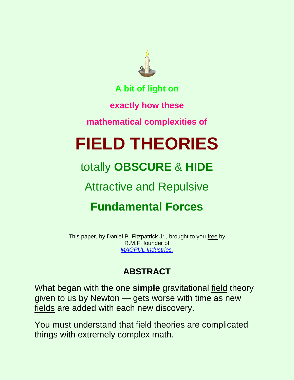

**A bit of light on**

**exactly how these**

**mathematical complexities of**

# **FIELD THEORIES**

## totally **OBSCURE** & **HIDE**

### Attractive and Repulsive

## **Fundamental Forces**

This paper, by Daniel P. Fitzpatrick Jr., brought to you free by R.M.F. founder of *[MAGPUL Industries.](http://youtube.com/watch?v=ctPyeNZqFho)*

#### **ABSTRACT**

What began with the one **simple** gravitational field theory given to us by Newton — gets worse with time as new fields are added with each new discovery.

You must understand that field theories are complicated things with extremely complex math.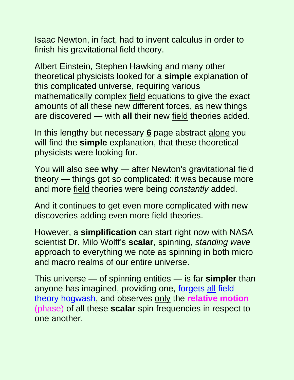Isaac Newton, in fact, had to invent calculus in order to finish his gravitational field theory.

Albert Einstein, Stephen Hawking and many other theoretical physicists looked for a **simple** explanation of this complicated universe, requiring various mathematically complex field equations to give the exact amounts of all these new different forces, as new things are discovered — with **all** their new field theories added.

In this lengthy but necessary **6** page abstract alone you will find the **simple** explanation, that these theoretical physicists were looking for.

You will also see **why** — after Newton's gravitational field theory — things got so complicated: it was because more and more field theories were being *constantly* added.

And it continues to get even more complicated with new discoveries adding even more field theories.

However, a **simplification** can start right now with NASA scientist Dr. Milo Wolff's **scalar**, spinning, *standing wave* approach to everything we note as spinning in both micro and macro realms of our entire universe.

This universe — of spinning entities — is far **simpler** than anyone has imagined, providing one, forgets all field theory hogwash, and observes only the **relative motion** (phase) of all these **scalar** spin frequencies in respect to one another.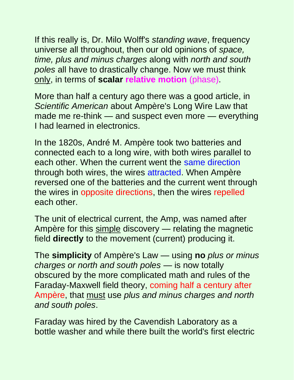If this really is, Dr. Milo Wolff's *standing wave*, frequency universe all throughout, then our old opinions of *space, time, plus and minus charges* along with *north and south poles* all have to drastically change. Now we must think only, in terms of **scalar relative motion** (phase).

More than half a century ago there was a good article, in *Scientific American* about Ampère's Long Wire Law that made me re-think — and suspect even more — everything I had learned in electronics.

In the 1820s, André M. Ampère took two batteries and connected each to a long wire, with both wires parallel to each other. When the current went the same direction through both wires, the wires attracted. When Ampère reversed one of the batteries and the current went through the wires in opposite directions, then the wires repelled each other.

The unit of electrical current, the Amp, was named after Ampère for this simple discovery — relating the magnetic field **directly** to the movement (current) producing it.

The **simplicity** of Ampère's Law — using **no** *plus or minus charges or north and south poles* — is now totally obscured by the more complicated math and rules of the Faraday-Maxwell field theory, coming half a century after Ampère, that must use *plus and minus charges and north and south poles*.

Faraday was hired by the Cavendish Laboratory as a bottle washer and while there built the world's first electric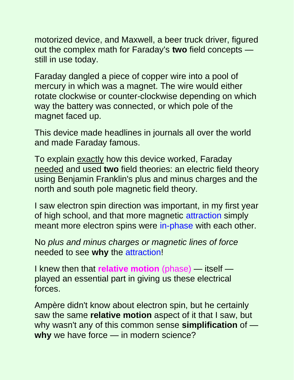motorized device, and Maxwell, a beer truck driver, figured out the complex math for Faraday's **two** field concepts still in use today.

Faraday dangled a piece of copper wire into a pool of mercury in which was a magnet. The wire would either rotate clockwise or counter-clockwise depending on which way the battery was connected, or which pole of the magnet faced up.

This device made headlines in journals all over the world and made Faraday famous.

To explain exactly how this device worked, Faraday needed and used **two** field theories: an electric field theory using Benjamin Franklin's plus and minus charges and the north and south pole magnetic field theory.

I saw electron spin direction was important, in my first year of high school, and that more magnetic attraction simply meant more electron spins were in-phase with each other.

No *plus and minus charges or magnetic lines of force* needed to see **why** the attraction!

I knew then that **relative motion** (phase) — itself played an essential part in giving us these electrical forces.

Ampère didn't know about electron spin, but he certainly saw the same **relative motion** aspect of it that I saw, but why wasn't any of this common sense **simplification** of **why** we have force — in modern science?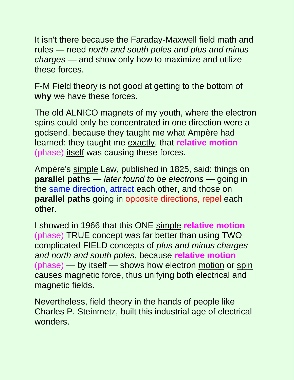It isn't there because the Faraday-Maxwell field math and rules — need *north and south poles and plus and minus charges* — and show only how to maximize and utilize these forces.

F-M Field theory is not good at getting to the bottom of **why** we have these forces.

The old ALNICO magnets of my youth, where the electron spins could only be concentrated in one direction were a godsend, because they taught me what Ampère had learned: they taught me exactly, that **relative motion** (phase) itself was causing these forces.

Ampère's simple Law, published in 1825, said: things on **parallel paths** — *later found to be electrons* — going in the same direction, attract each other, and those on **parallel paths** going in opposite directions, repel each other.

I showed in 1966 that this ONE simple **relative motion** (phase) TRUE concept was far better than using TWO complicated FIELD concepts of *plus and minus charges and north and south poles*, because **relative motion** (phase) — by itself — shows how electron motion or spin causes magnetic force, thus unifying both electrical and magnetic fields.

Nevertheless, field theory in the hands of people like Charles P. Steinmetz, built this industrial age of electrical wonders.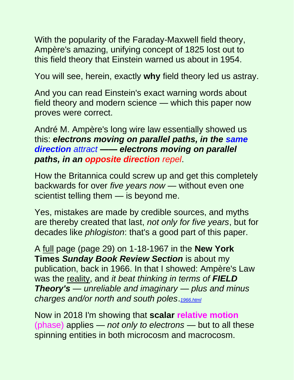With the popularity of the Faraday-Maxwell field theory, Ampère's amazing, unifying concept of 1825 lost out to this field theory that Einstein warned us about in 1954.

You will see, herein, exactly **why** field theory led us astray.

And you can read Einstein's exact warning words about field theory and modern science — which this paper now proves were correct.

André M. Ampère's long wire law essentially showed us this: *electrons moving on parallel paths, in the same direction attract —— electrons moving on parallel paths, in an opposite direction repel*.

How the Britannica could screw up and get this completely backwards for over *five years now* — without even one scientist telling them — is beyond me.

Yes, mistakes are made by credible sources, and myths are thereby created that last, *not only for five years*, but for decades like *phlogiston*: that's a good part of this paper.

A full page (page 29) on 1-18-1967 in the **New York Times** *Sunday Book Review Section* is about my publication, back in 1966. In that I showed: Ampère's Law was the reality, and *it beat thinking in terms of FIELD Theory's — unreliable and imaginary — plus and minus charges and/or north and south poles*.*[1966.html](http://www.rbduncan.com/1966.html)*

Now in 2018 I'm showing that **scalar relative motion** (phase) applies — *not only to electrons* — but to all these spinning entities in both microcosm and macrocosm.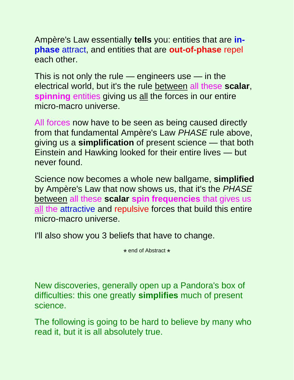Ampère's Law essentially **tells** you: entities that are **inphase** attract, and entities that are **out-of-phase** repel each other.

This is not only the rule — engineers use — in the electrical world, but it's the rule between all these **scalar**, **spinning** entities giving us all the forces in our entire micro-macro universe.

All forces now have to be seen as being caused directly from that fundamental Ampère's Law *PHASE* rule above, giving us a **simplification** of present science — that both Einstein and Hawking looked for their entire lives — but never found.

Science now becomes a whole new ballgame, **simplified** by Ampère's Law that now shows us, that it's the *PHASE* between all these **scalar spin frequencies** that gives us all the attractive and repulsive forces that build this entire micro-macro universe.

I'll also show you 3 beliefs that have to change.

\* end of Abstract \*

New discoveries, generally open up a Pandora's box of difficulties: this one greatly **simplifies** much of present science.

The following is going to be hard to believe by many who read it, but it is all absolutely true.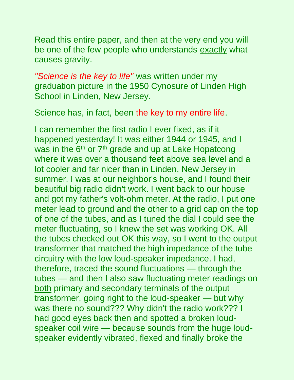Read this entire paper, and then at the very end you will be one of the few people who understands exactly what causes gravity.

*"Science is the key to life"* was written under my graduation picture in the 1950 Cynosure of Linden High School in Linden, New Jersey.

Science has, in fact, been the key to my entire life.

I can remember the first radio I ever fixed, as if it happened yesterday! It was either 1944 or 1945, and I was in the 6<sup>th</sup> or 7<sup>th</sup> grade and up at Lake Hopatcong where it was over a thousand feet above sea level and a lot cooler and far nicer than in Linden, New Jersey in summer. I was at our neighbor's house, and I found their beautiful big radio didn't work. I went back to our house and got my father's volt-ohm meter. At the radio, I put one meter lead to ground and the other to a grid cap on the top of one of the tubes, and as I tuned the dial I could see the meter fluctuating, so I knew the set was working OK. All the tubes checked out OK this way, so I went to the output transformer that matched the high impedance of the tube circuitry with the low loud-speaker impedance. I had, therefore, traced the sound fluctuations — through the tubes — and then I also saw fluctuating meter readings on both primary and secondary terminals of the output transformer, going right to the loud-speaker — but why was there no sound??? Why didn't the radio work??? I had good eyes back then and spotted a broken loudspeaker coil wire — because sounds from the huge loudspeaker evidently vibrated, flexed and finally broke the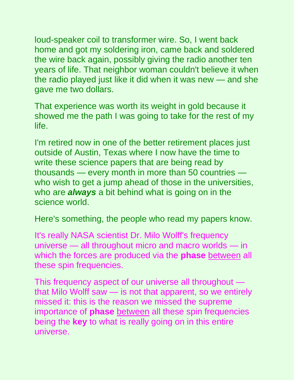loud-speaker coil to transformer wire. So, I went back home and got my soldering iron, came back and soldered the wire back again, possibly giving the radio another ten years of life. That neighbor woman couldn't believe it when the radio played just like it did when it was new — and she gave me two dollars.

That experience was worth its weight in gold because it showed me the path I was going to take for the rest of my life.

I'm retired now in one of the better retirement places just outside of Austin, Texas where I now have the time to write these science papers that are being read by thousands — every month in more than 50 countries who wish to get a jump ahead of those in the universities, who are *always* a bit behind what is going on in the science world.

Here's something, the people who read my papers know.

It's really NASA scientist Dr. Milo Wolff's frequency universe — all throughout micro and macro worlds — in which the forces are produced via the **phase** between all these spin frequencies.

This frequency aspect of our universe all throughout that Milo Wolff saw — is not that apparent, so we entirely missed it: this is the reason we missed the supreme importance of **phase** between all these spin frequencies being the **key** to what is really going on in this entire universe.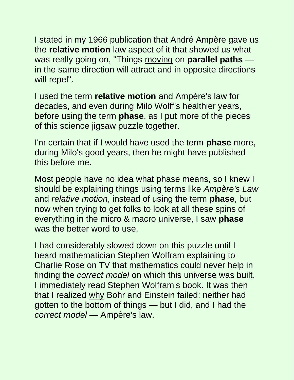I stated in my 1966 publication that André Ampère gave us the **relative motion** law aspect of it that showed us what was really going on, "Things moving on **parallel paths** in the same direction will attract and in opposite directions will repel".

I used the term **relative motion** and Ampère's law for decades, and even during Milo Wolff's healthier years, before using the term **phase**, as I put more of the pieces of this science jigsaw puzzle together.

I'm certain that if I would have used the term **phase** more, during Milo's good years, then he might have published this before me.

Most people have no idea what phase means, so I knew I should be explaining things using terms like *Ampère's Law* and *relative motion*, instead of using the term **phase**, but now when trying to get folks to look at all these spins of everything in the micro & macro universe, I saw **phase** was the better word to use.

I had considerably slowed down on this puzzle until I heard mathematician Stephen Wolfram explaining to Charlie Rose on TV that mathematics could never help in finding the *correct model* on which this universe was built. I immediately read Stephen Wolfram's book. It was then that I realized why Bohr and Einstein failed: neither had gotten to the bottom of things — but I did, and I had the *correct model* — Ampère's law.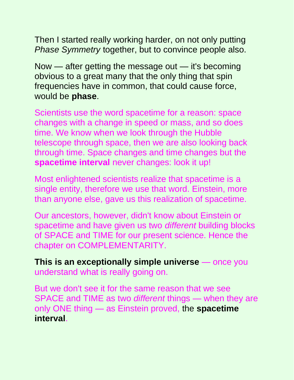Then I started really working harder, on not only putting *Phase Symmetry* together, but to convince people also.

Now — after getting the message out — it's becoming obvious to a great many that the only thing that spin frequencies have in common, that could cause force, would be **phase**.

Scientists use the word spacetime for a reason: space changes with a change in speed or mass, and so does time. We know when we look through the Hubble telescope through space, then we are also looking back through time. Space changes and time changes but the **spacetime interval** never changes: look it up!

Most enlightened scientists realize that spacetime is a single entity, therefore we use that word. Einstein, more than anyone else, gave us this realization of spacetime.

Our ancestors, however, didn't know about Einstein or spacetime and have given us two *different* building blocks of SPACE and TIME for our present science. Hence the chapter on COMPLEMENTARITY.

**This is an exceptionally simple universe** — once you understand what is really going on.

But we don't see it for the same reason that we see SPACE and TIME as two *different* things — when they are only ONE thing — as Einstein proved, the **spacetime interval**.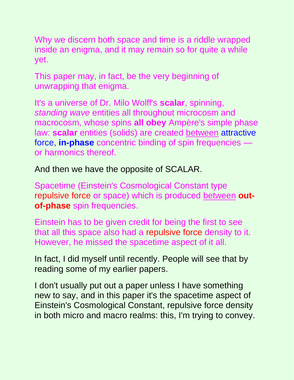Why we discern both space and time is a riddle wrapped inside an enigma, and it may remain so for quite a while yet.

This paper may, in fact, be the very beginning of unwrapping that enigma.

It's a universe of Dr. Milo Wolff's **scalar**, spinning, *standing wave* entities all throughout microcosm and macrocosm, whose spins **all obey** Ampère's simple phase law: scalar entities (solids) are created **between** attractive force, **in-phase** concentric binding of spin frequencies or harmonics thereof.

And then we have the opposite of SCALAR.

Spacetime (Einstein's Cosmological Constant type repulsive force or space) which is produced between **outof-phase** spin frequencies.

Einstein has to be given credit for being the first to see that all this space also had a repulsive force density to it. However, he missed the spacetime aspect of it all.

In fact, I did myself until recently. People will see that by reading some of my earlier papers.

I don't usually put out a paper unless I have something new to say, and in this paper it's the spacetime aspect of Einstein's Cosmological Constant, repulsive force density in both micro and macro realms: this, I'm trying to convey.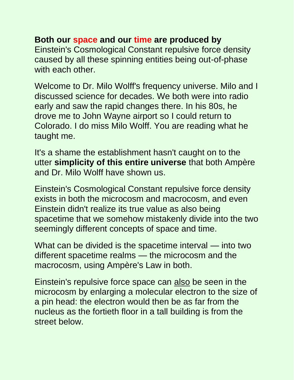#### **Both our space and our time are produced by**

Einstein's Cosmological Constant repulsive force density caused by all these spinning entities being out-of-phase with each other.

Welcome to Dr. Milo Wolff's frequency universe. Milo and I discussed science for decades. We both were into radio early and saw the rapid changes there. In his 80s, he drove me to John Wayne airport so I could return to Colorado. I do miss Milo Wolff. You are reading what he taught me.

It's a shame the establishment hasn't caught on to the utter **simplicity of this entire universe** that both Ampère and Dr. Milo Wolff have shown us.

Einstein's Cosmological Constant repulsive force density exists in both the microcosm and macrocosm, and even Einstein didn't realize its true value as also being spacetime that we somehow mistakenly divide into the two seemingly different concepts of space and time.

What can be divided is the spacetime interval — into two different spacetime realms — the microcosm and the macrocosm, using Ampère's Law in both.

Einstein's repulsive force space can also be seen in the microcosm by enlarging a molecular electron to the size of a pin head: the electron would then be as far from the nucleus as the fortieth floor in a tall building is from the street below.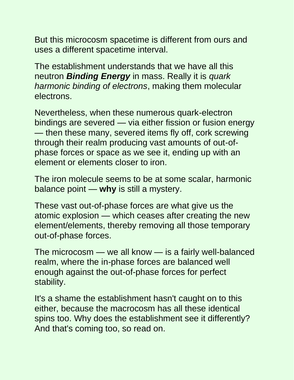But this microcosm spacetime is different from ours and uses a different spacetime interval.

The establishment understands that we have all this neutron *Binding Energy* in mass. Really it is *quark harmonic binding of electrons*, making them molecular electrons.

Nevertheless, when these numerous quark-electron bindings are severed — via either fission or fusion energy — then these many, severed items fly off, cork screwing through their realm producing vast amounts of out-ofphase forces or space as we see it, ending up with an element or elements closer to iron.

The iron molecule seems to be at some scalar, harmonic balance point — **why** is still a mystery.

These vast out-of-phase forces are what give us the atomic explosion — which ceases after creating the new element/elements, thereby removing all those temporary out-of-phase forces.

The microcosm — we all know — is a fairly well-balanced realm, where the in-phase forces are balanced well enough against the out-of-phase forces for perfect stability.

It's a shame the establishment hasn't caught on to this either, because the macrocosm has all these identical spins too. Why does the establishment see it differently? And that's coming too, so read on.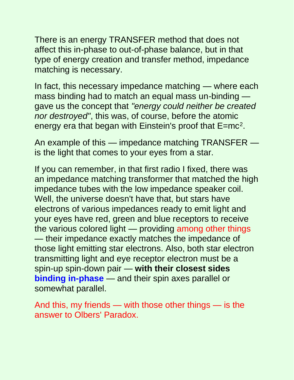There is an energy TRANSFER method that does not affect this in-phase to out-of-phase balance, but in that type of energy creation and transfer method, impedance matching is necessary.

In fact, this necessary impedance matching — where each mass binding had to match an equal mass un-binding gave us the concept that *"energy could neither be created nor destroyed"*, this was, of course, before the atomic energy era that began with Einstein's proof that E=mc<sup>2</sup>.

An example of this — impedance matching TRANSFER is the light that comes to your eyes from a star.

If you can remember, in that first radio I fixed, there was an impedance matching transformer that matched the high impedance tubes with the low impedance speaker coil. Well, the universe doesn't have that, but stars have electrons of various impedances ready to emit light and your eyes have red, green and blue receptors to receive the various colored light — providing among other things — their impedance exactly matches the impedance of those light emitting star electrons. Also, both star electron transmitting light and eye receptor electron must be a spin-up spin-down pair — **with their closest sides binding in-phase** — and their spin axes parallel or somewhat parallel.

And this, my friends — with those other things — is the answer to Olbers' Paradox.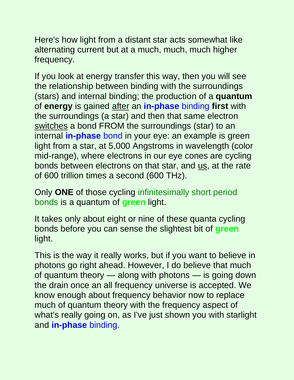Here's how light from a distant star acts somewhat like alternating current but at a much, much, much higher frequency.

If you look at energy transfer this way, then you will see the relationship between binding with the surroundings (stars) and internal binding; the production of a **quantum** of **energy** is gained after an **in-phase** binding **first** with the surroundings (a star) and then that same electron switches a bond FROM the surroundings (star) to an internal **in-phase** bond in your eye: an example is green light from a star, at 5,000 Angstroms in wavelength (color mid-range), where electrons in our eye cones are cycling bonds between electrons on that star, and us, at the rate of 600 trillion times a second (600 THz).

Only **ONE** of those cycling infinitesimally short period bonds is a quantum of **green** light.

It takes only about eight or nine of these quanta cycling bonds before you can sense the slightest bit of **green** light.

This is the way it really works, but if you want to believe in photons go right ahead. However, I do believe that much of quantum theory — along with photons — is going down the drain once an all frequency universe is accepted. We know enough about frequency behavior now to replace much of quantum theory with the frequency aspect of what's really going on, as I've just shown you with starlight and **in-phase** binding.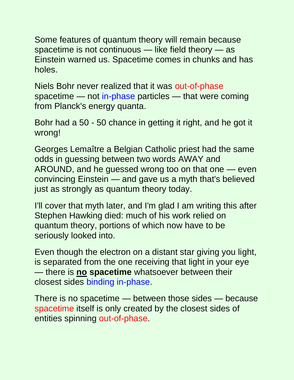Some features of quantum theory will remain because spacetime is not continuous — like field theory — as Einstein warned us. Spacetime comes in chunks and has holes.

Niels Bohr never realized that it was out-of-phase spacetime — not in-phase particles — that were coming from Planck's energy quanta.

Bohr had a 50 - 50 chance in getting it right, and he got it wrong!

Georges Lemaître a Belgian Catholic priest had the same odds in guessing between two words AWAY and AROUND, and he guessed wrong too on that one — even convincing Einstein — and gave us a myth that's believed just as strongly as quantum theory today.

I'll cover that myth later, and I'm glad I am writing this after Stephen Hawking died: much of his work relied on quantum theory, portions of which now have to be seriously looked into.

Even though the electron on a distant star giving you light, is separated from the one receiving that light in your eye — there is **no spacetime** whatsoever between their closest sides binding in-phase.

There is no spacetime — between those sides — because spacetime itself is only created by the closest sides of entities spinning out-of-phase.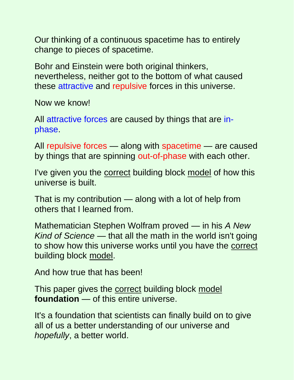Our thinking of a continuous spacetime has to entirely change to pieces of spacetime.

Bohr and Einstein were both original thinkers, nevertheless, neither got to the bottom of what caused these attractive and repulsive forces in this universe.

Now we know!

All attractive forces are caused by things that are inphase.

All repulsive forces — along with spacetime — are caused by things that are spinning out-of-phase with each other.

I've given you the correct building block model of how this universe is built.

That is my contribution — along with a lot of help from others that I learned from.

Mathematician Stephen Wolfram proved — in his *A New Kind of Science* — that all the math in the world isn't going to show how this universe works until you have the correct building block model.

And how true that has been!

This paper gives the correct building block model **foundation** — of this entire universe.

It's a foundation that scientists can finally build on to give all of us a better understanding of our universe and *hopefully*, a better world.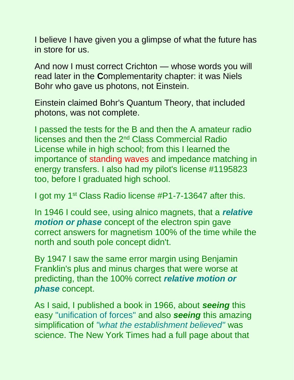I believe I have given you a glimpse of what the future has in store for us.

And now I must correct Crichton — whose words you will read later in the **C**omplementarity chapter: it was Niels Bohr who gave us photons, not Einstein.

Einstein claimed Bohr's Quantum Theory, that included photons, was not complete.

I passed the tests for the B and then the A amateur radio licenses and then the 2nd Class Commercial Radio License while in high school; from this I learned the importance of standing waves and impedance matching in energy transfers. I also had my pilot's license #1195823 too, before I graduated high school.

I got my 1st Class Radio license #P1-7-13647 after this.

In 1946 I could see, using alnico magnets, that a *relative motion or phase* concept of the electron spin gave correct answers for magnetism 100% of the time while the north and south pole concept didn't.

By 1947 I saw the same error margin using Benjamin Franklin's plus and minus charges that were worse at predicting, than the 100% correct *relative motion or phase* concept.

As I said, I published a book in 1966, about *seeing* this easy "unification of forces" and also *seeing* this amazing simplification of *"what the establishment believed"* was science. The New York Times had a full page about that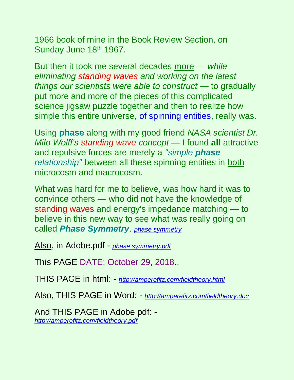1966 book of mine in the Book Review Section, on Sunday June 18th 1967.

But then it took me several decades more — *while eliminating standing waves and working on the latest things our scientists were able to construct* — to gradually put more and more of the pieces of this complicated science jigsaw puzzle together and then to realize how simple this entire universe, of spinning entities, really was.

Using **phase** along with my good friend *NASA scientist Dr. Milo Wolff's standing wave concept* — I found **all** attractive and repulsive forces are merely a *"simple phase relationship"* between all these spinning entities in both microcosm and macrocosm.

What was hard for me to believe, was how hard it was to convince others — who did not have the knowledge of standing waves and energy's impedance matching — to believe in this new way to see what was really going on called *Phase Symmetry*. *[phase symmetry](http://ampèrefitz.com/phase.symmetry.htm)*

Also, in Adobe.pdf - *[phase symmetry.pdf](http://ampèrefitz.com/phase.symmetry.pdf)*

This PAGE DATE: October 29, 2018..

THIS PAGE in html: - *<http://amperefitz.com/fieldtheory.html>*

Also, THIS PAGE in Word: - *<http://amperefitz.com/fieldtheory.doc>*

And THIS PAGE in Adobe pdf: *<http://amperefitz.com/fieldtheory.pdf>*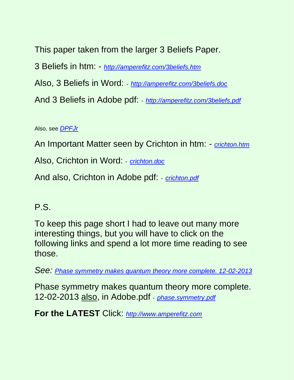This paper taken from the larger 3 Beliefs Paper. 3 Beliefs in htm: - *<http://amperefitz.com/3beliefs.htm>* Also, 3 Beliefs in Word: - *<http://amperefitz.com/3beliefs.doc>* And 3 Beliefs in Adobe pdf: - *<http://amperefitz.com/3beliefs.pdf>*

Also, see *[DPFJr](http://amperefitz.com/DPFJr)*

An Important Matter seen by Crichton in htm: - *[crichton.htm](http://amperefitz.com/crichton.htm)*

Also, Crichton in Word: - *[crichton.doc](http://amperefitz.com/crichton.doc)*

And also, Crichton in Adobe pdf: - *[crichton.pdf](http://amperefitz.com/crichton.pdf)*

#### P.S.

To keep this page short I had to leave out many more interesting things, but you will have to click on the following links and spend a lot more time reading to see those.

*See: [Phase symmetry makes quantum theory more complete. 12-02-2013](http://amperefitz.com/phase.symmetry.htm)*

Phase symmetry makes quantum theory more complete. 12-02-2013 also, in Adobe.pdf - *[phase.symmetry.pdf](http://amperefitz.com/phase.symmetry.pdf)*

**For the LATEST** Click: *[http://www.amperefitz.com](http://www.amperefitz.com/)*